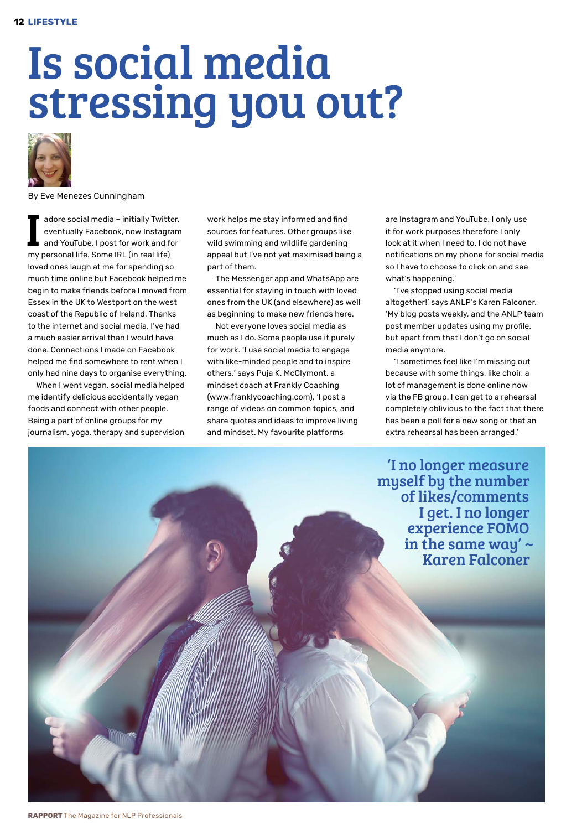# Is social media stressing you out?



By Eve Menezes Cunningham

adore social media - initially Twitter, eventually Facebook, now Instagram and YouTube. I post for work and for my personal life. Some IRL (in real life) loved ones laugh at me for spending so much time online but Facebook helped me begin to make friends before I moved from Essex in the UK to Westport on the west coast of the Republic of Ireland. Thanks to the internet and social media, I've had a much easier arrival than I would have done. Connections I made on Facebook helped me find somewhere to rent when I only had nine days to organise everything.

When I went vegan, social media helped me identify delicious accidentally vegan foods and connect with other people. Being a part of online groups for my journalism, yoga, therapy and supervision work helps me stay informed and find sources for features. Other groups like wild swimming and wildlife gardening appeal but I've not yet maximised being a part of them.

The Messenger app and WhatsApp are essential for staying in touch with loved ones from the UK (and elsewhere) as well as beginning to make new friends here.

Not everyone loves social media as much as I do. Some people use it purely for work. 'I use social media to engage with like-minded people and to inspire others,' says Puja K. McClymont, a mindset coach at Frankly Coaching (www.franklycoaching.com). 'I post a range of videos on common topics, and share quotes and ideas to improve living and mindset. My favourite platforms

are Instagram and YouTube. I only use it for work purposes therefore I only look at it when I need to. I do not have notifications on my phone for social media so I have to choose to click on and see what's happening.'

'I've stopped using social media altogether!' says ANLP's Karen Falconer. 'My blog posts weekly, and the ANLP team post member updates using my profile, but apart from that I don't go on social media anymore.

'I sometimes feel like I'm missing out because with some things, like choir, a lot of management is done online now via the FB group. I can get to a rehearsal completely oblivious to the fact that there has been a poll for a new song or that an extra rehearsal has been arranged.'

'I no longer measure myself by the number of likes/comments I get. I no longer experience FOMO in the same way'  $\sim$ Karen Falconer

**RAPPorT** The Magazine for NLP Professionals